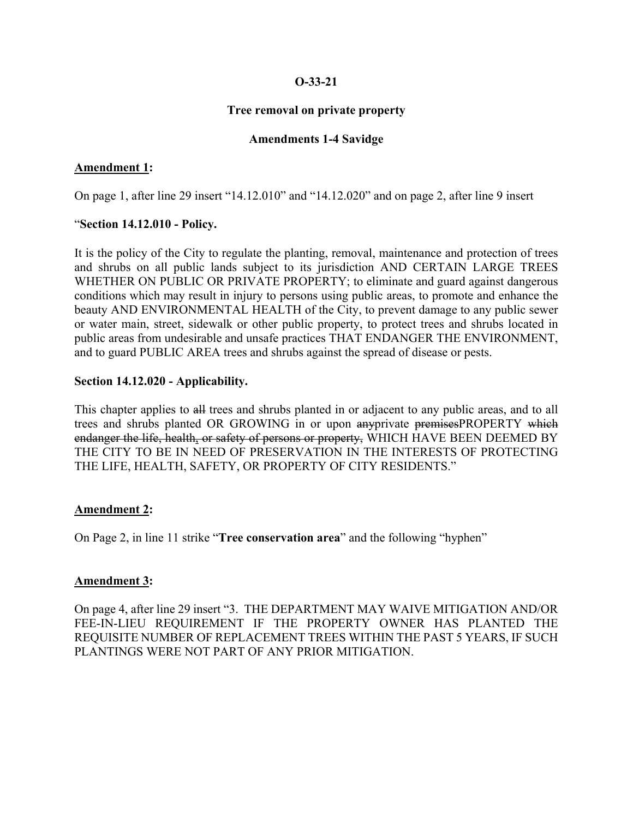## **O-33-21**

## **Tree removal on private property**

## **Amendments 1-4 Savidge**

## **Amendment 1:**

On page 1, after line 29 insert "14.12.010" and "14.12.020" and on page 2, after line 9 insert

### "**Section 14.12.010 - Policy.**

It is the policy of the City to regulate the planting, removal, maintenance and protection of trees and shrubs on all public lands subject to its jurisdiction AND CERTAIN LARGE TREES WHETHER ON PUBLIC OR PRIVATE PROPERTY; to eliminate and guard against dangerous conditions which may result in injury to persons using public areas, to promote and enhance the beauty AND ENVIRONMENTAL HEALTH of the City, to prevent damage to any public sewer or water main, street, sidewalk or other public property, to protect trees and shrubs located in public areas from undesirable and unsafe practices THAT ENDANGER THE ENVIRONMENT, and to guard PUBLIC AREA trees and shrubs against the spread of disease or pests.

## **Section 14.12.020 - Applicability.**

This chapter applies to all trees and shrubs planted in or adjacent to any public areas, and to all trees and shrubs planted OR GROWING in or upon any private premises PROPERTY which endanger the life, health, or safety of persons or property, WHICH HAVE BEEN DEEMED BY THE CITY TO BE IN NEED OF PRESERVATION IN THE INTERESTS OF PROTECTING THE LIFE, HEALTH, SAFETY, OR PROPERTY OF CITY RESIDENTS."

## **Amendment 2:**

On Page 2, in line 11 strike "**Tree conservation area**" and the following "hyphen"

#### **Amendment 3:**

On page 4, after line 29 insert "3. THE DEPARTMENT MAY WAIVE MITIGATION AND/OR FEE-IN-LIEU REQUIREMENT IF THE PROPERTY OWNER HAS PLANTED THE REQUISITE NUMBER OF REPLACEMENT TREES WITHIN THE PAST 5 YEARS, IF SUCH PLANTINGS WERE NOT PART OF ANY PRIOR MITIGATION.